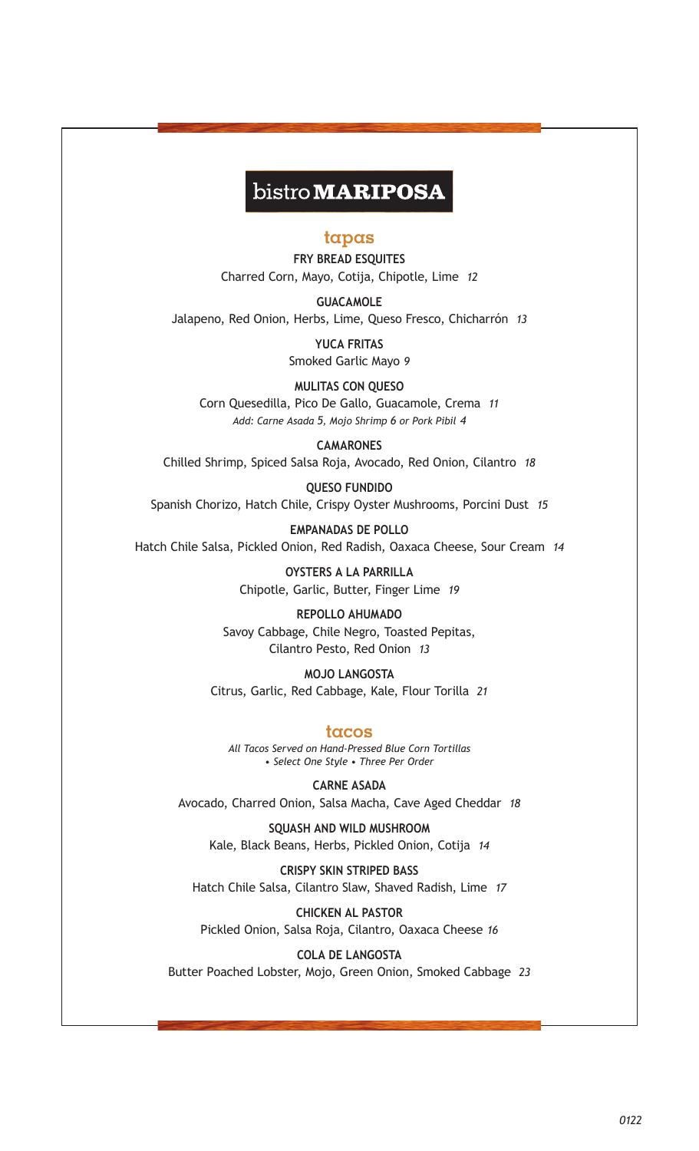# bistro **MARIPOSA**

#### **tapas**

**FRY BREAD ESQUITES** Charred Corn, Mayo, Cotija, Chipotle, Lime *12*

**GUACAMOLE** Jalapeno, Red Onion, Herbs, Lime, Queso Fresco, Chicharrón *13*

> **YUCA FRITAS** Smoked Garlic Mayo *9*

**MULITAS CON QUESO** Corn Quesedilla, Pico De Gallo, Guacamole, Crema *11 Add: Carne Asada 5, Mojo Shrimp 6 or Pork Pibil 4*

**CAMARONES** Chilled Shrimp, Spiced Salsa Roja, Avocado, Red Onion, Cilantro *18*

**QUESO FUNDIDO** Spanish Chorizo, Hatch Chile, Crispy Oyster Mushrooms, Porcini Dust *15*

**EMPANADAS DE POLLO** Hatch Chile Salsa, Pickled Onion, Red Radish, Oaxaca Cheese, Sour Cream *14*

> **OYSTERS A LA PARRILLA** Chipotle, Garlic, Butter, Finger Lime *19*

**REPOLLO AHUMADO** Savoy Cabbage, Chile Negro, Toasted Pepitas, Cilantro Pesto, Red Onion *13*

**MOJO LANGOSTA** Citrus, Garlic, Red Cabbage, Kale, Flour Torilla *21*

**tacos** *All Tacos Served on Hand-Pressed Blue Corn Tortillas • Select One Style • Three Per Order*

**CARNE ASADA** Avocado, Charred Onion, Salsa Macha, Cave Aged Cheddar *18*

**SQUASH AND WILD MUSHROOM** Kale, Black Beans, Herbs, Pickled Onion, Cotija *14*

**CRISPY SKIN STRIPED BASS** Hatch Chile Salsa, Cilantro Slaw, Shaved Radish, Lime *17*

**CHICKEN AL PASTOR** Pickled Onion, Salsa Roja, Cilantro, Oaxaca Cheese *16*

**COLA DE LANGOSTA** Butter Poached Lobster, Mojo, Green Onion, Smoked Cabbage *23*